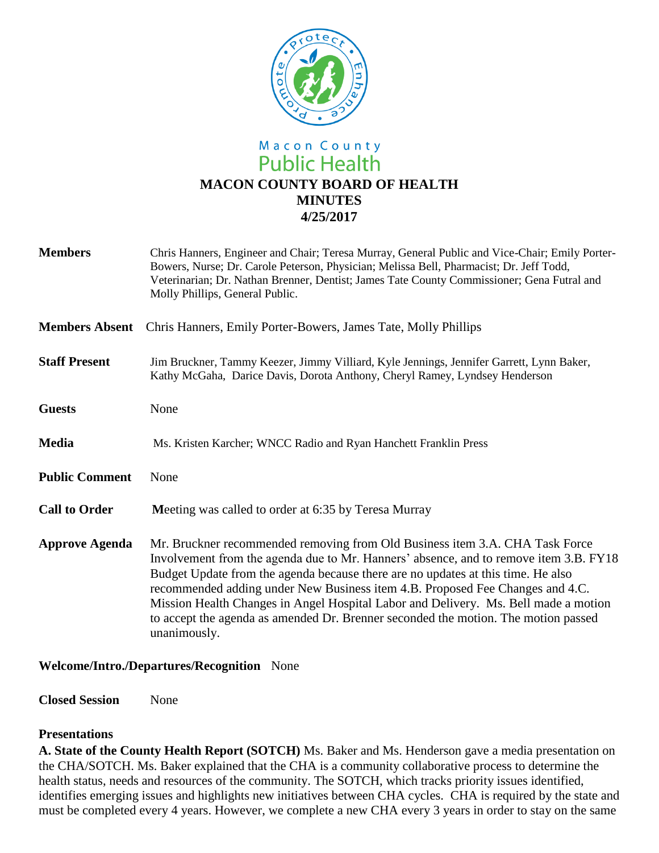

# Macon County **Public Health MACON COUNTY BOARD OF HEALTH MINUTES 4/25/2017**

| <b>Members</b>        | Chris Hanners, Engineer and Chair; Teresa Murray, General Public and Vice-Chair; Emily Porter-<br>Bowers, Nurse; Dr. Carole Peterson, Physician; Melissa Bell, Pharmacist; Dr. Jeff Todd,<br>Veterinarian; Dr. Nathan Brenner, Dentist; James Tate County Commissioner; Gena Futral and<br>Molly Phillips, General Public.                                                                                                                                                                                                              |
|-----------------------|-----------------------------------------------------------------------------------------------------------------------------------------------------------------------------------------------------------------------------------------------------------------------------------------------------------------------------------------------------------------------------------------------------------------------------------------------------------------------------------------------------------------------------------------|
| <b>Members Absent</b> | Chris Hanners, Emily Porter-Bowers, James Tate, Molly Phillips                                                                                                                                                                                                                                                                                                                                                                                                                                                                          |
| <b>Staff Present</b>  | Jim Bruckner, Tammy Keezer, Jimmy Villiard, Kyle Jennings, Jennifer Garrett, Lynn Baker,<br>Kathy McGaha, Darice Davis, Dorota Anthony, Cheryl Ramey, Lyndsey Henderson                                                                                                                                                                                                                                                                                                                                                                 |
| <b>Guests</b>         | None                                                                                                                                                                                                                                                                                                                                                                                                                                                                                                                                    |
| <b>Media</b>          | Ms. Kristen Karcher; WNCC Radio and Ryan Hanchett Franklin Press                                                                                                                                                                                                                                                                                                                                                                                                                                                                        |
| <b>Public Comment</b> | None                                                                                                                                                                                                                                                                                                                                                                                                                                                                                                                                    |
| <b>Call to Order</b>  | Meeting was called to order at 6:35 by Teresa Murray                                                                                                                                                                                                                                                                                                                                                                                                                                                                                    |
| <b>Approve Agenda</b> | Mr. Bruckner recommended removing from Old Business item 3.A. CHA Task Force<br>Involvement from the agenda due to Mr. Hanners' absence, and to remove item 3.B. FY18<br>Budget Update from the agenda because there are no updates at this time. He also<br>recommended adding under New Business item 4.B. Proposed Fee Changes and 4.C.<br>Mission Health Changes in Angel Hospital Labor and Delivery. Ms. Bell made a motion<br>to accept the agenda as amended Dr. Brenner seconded the motion. The motion passed<br>unanimously. |

### **Welcome/Intro./Departures/Recognition** None

**Closed Session** None

#### **Presentations**

**A. State of the County Health Report (SOTCH)** Ms. Baker and Ms. Henderson gave a media presentation on the CHA/SOTCH. Ms. Baker explained that the CHA is a community collaborative process to determine the health status, needs and resources of the community. The SOTCH, which tracks priority issues identified, identifies emerging issues and highlights new initiatives between CHA cycles. CHA is required by the state and must be completed every 4 years. However, we complete a new CHA every 3 years in order to stay on the same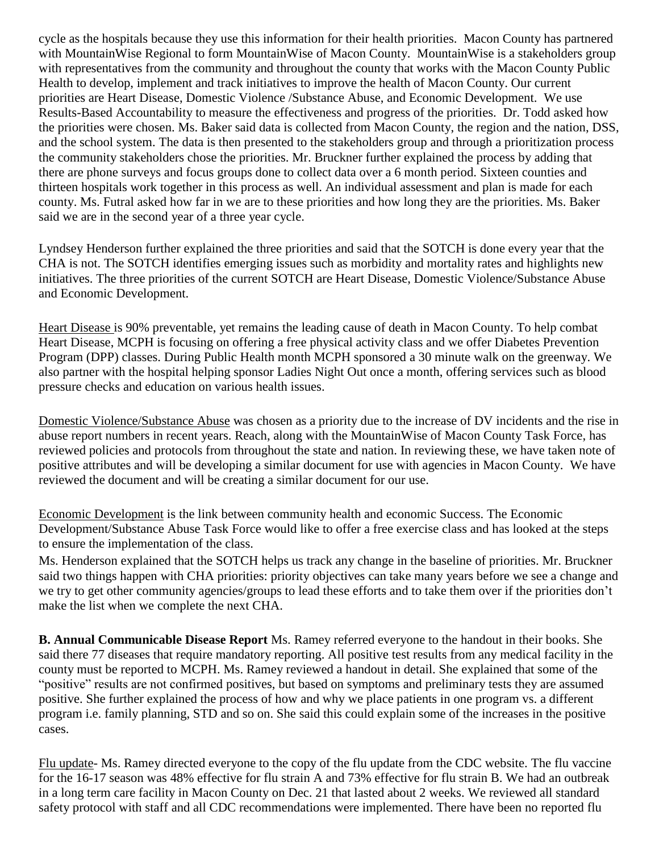cycle as the hospitals because they use this information for their health priorities. Macon County has partnered with MountainWise Regional to form MountainWise of Macon County. MountainWise is a stakeholders group with representatives from the community and throughout the county that works with the Macon County Public Health to develop, implement and track initiatives to improve the health of Macon County. Our current priorities are Heart Disease, Domestic Violence /Substance Abuse, and Economic Development. We use Results-Based Accountability to measure the effectiveness and progress of the priorities. Dr. Todd asked how the priorities were chosen. Ms. Baker said data is collected from Macon County, the region and the nation, DSS, and the school system. The data is then presented to the stakeholders group and through a prioritization process the community stakeholders chose the priorities. Mr. Bruckner further explained the process by adding that there are phone surveys and focus groups done to collect data over a 6 month period. Sixteen counties and thirteen hospitals work together in this process as well. An individual assessment and plan is made for each county. Ms. Futral asked how far in we are to these priorities and how long they are the priorities. Ms. Baker said we are in the second year of a three year cycle.

Lyndsey Henderson further explained the three priorities and said that the SOTCH is done every year that the CHA is not. The SOTCH identifies emerging issues such as morbidity and mortality rates and highlights new initiatives. The three priorities of the current SOTCH are Heart Disease, Domestic Violence/Substance Abuse and Economic Development.

Heart Disease is 90% preventable, yet remains the leading cause of death in Macon County. To help combat Heart Disease, MCPH is focusing on offering a free physical activity class and we offer Diabetes Prevention Program (DPP) classes. During Public Health month MCPH sponsored a 30 minute walk on the greenway. We also partner with the hospital helping sponsor Ladies Night Out once a month, offering services such as blood pressure checks and education on various health issues.

Domestic Violence/Substance Abuse was chosen as a priority due to the increase of DV incidents and the rise in abuse report numbers in recent years. Reach, along with the MountainWise of Macon County Task Force, has reviewed policies and protocols from throughout the state and nation. In reviewing these, we have taken note of positive attributes and will be developing a similar document for use with agencies in Macon County. We have reviewed the document and will be creating a similar document for our use.

Economic Development is the link between community health and economic Success. The Economic Development/Substance Abuse Task Force would like to offer a free exercise class and has looked at the steps to ensure the implementation of the class.

Ms. Henderson explained that the SOTCH helps us track any change in the baseline of priorities. Mr. Bruckner said two things happen with CHA priorities: priority objectives can take many years before we see a change and we try to get other community agencies/groups to lead these efforts and to take them over if the priorities don't make the list when we complete the next CHA.

**B. Annual Communicable Disease Report** Ms. Ramey referred everyone to the handout in their books. She said there 77 diseases that require mandatory reporting. All positive test results from any medical facility in the county must be reported to MCPH. Ms. Ramey reviewed a handout in detail. She explained that some of the "positive" results are not confirmed positives, but based on symptoms and preliminary tests they are assumed positive. She further explained the process of how and why we place patients in one program vs. a different program i.e. family planning, STD and so on. She said this could explain some of the increases in the positive cases.

Flu update- Ms. Ramey directed everyone to the copy of the flu update from the CDC website. The flu vaccine for the 16-17 season was 48% effective for flu strain A and 73% effective for flu strain B. We had an outbreak in a long term care facility in Macon County on Dec. 21 that lasted about 2 weeks. We reviewed all standard safety protocol with staff and all CDC recommendations were implemented. There have been no reported flu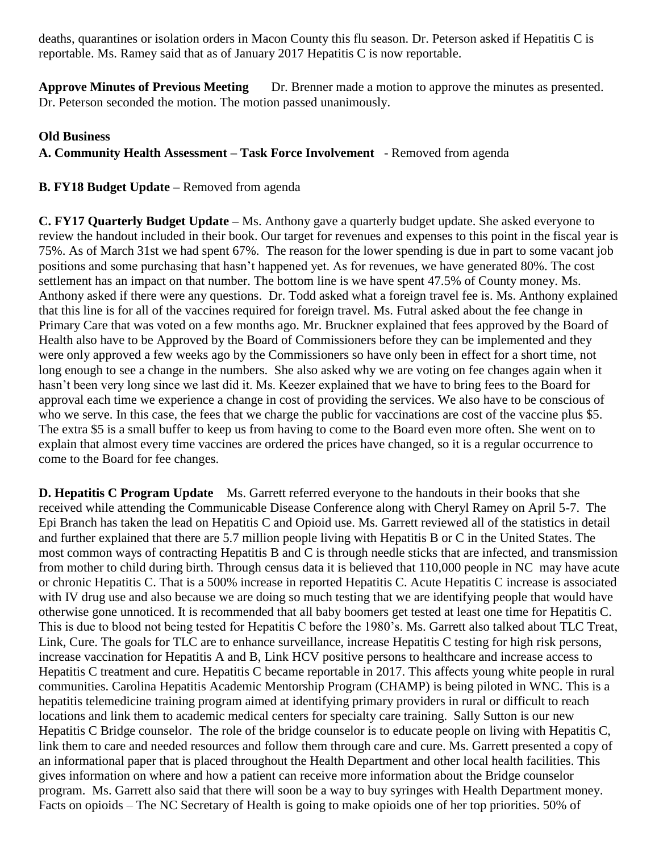deaths, quarantines or isolation orders in Macon County this flu season. Dr. Peterson asked if Hepatitis C is reportable. Ms. Ramey said that as of January 2017 Hepatitis C is now reportable.

**Approve Minutes of Previous Meeting** Dr. Brenner made a motion to approve the minutes as presented. Dr. Peterson seconded the motion. The motion passed unanimously.

## **Old Business**

**A. Community Health Assessment – Task Force Involvement** - Removed from agenda

# **B. FY18 Budget Update –** Removed from agenda

**C. FY17 Quarterly Budget Update –** Ms. Anthony gave a quarterly budget update. She asked everyone to review the handout included in their book. Our target for revenues and expenses to this point in the fiscal year is 75%. As of March 31st we had spent 67%. The reason for the lower spending is due in part to some vacant job positions and some purchasing that hasn't happened yet. As for revenues, we have generated 80%. The cost settlement has an impact on that number. The bottom line is we have spent 47.5% of County money. Ms. Anthony asked if there were any questions. Dr. Todd asked what a foreign travel fee is. Ms. Anthony explained that this line is for all of the vaccines required for foreign travel. Ms. Futral asked about the fee change in Primary Care that was voted on a few months ago. Mr. Bruckner explained that fees approved by the Board of Health also have to be Approved by the Board of Commissioners before they can be implemented and they were only approved a few weeks ago by the Commissioners so have only been in effect for a short time, not long enough to see a change in the numbers. She also asked why we are voting on fee changes again when it hasn't been very long since we last did it. Ms. Keezer explained that we have to bring fees to the Board for approval each time we experience a change in cost of providing the services. We also have to be conscious of who we serve. In this case, the fees that we charge the public for vaccinations are cost of the vaccine plus \$5. The extra \$5 is a small buffer to keep us from having to come to the Board even more often. She went on to explain that almost every time vaccines are ordered the prices have changed, so it is a regular occurrence to come to the Board for fee changes.

**D. Hepatitis C Program Update** Ms. Garrett referred everyone to the handouts in their books that she received while attending the Communicable Disease Conference along with Cheryl Ramey on April 5-7. The Epi Branch has taken the lead on Hepatitis C and Opioid use. Ms. Garrett reviewed all of the statistics in detail and further explained that there are 5.7 million people living with Hepatitis B or C in the United States. The most common ways of contracting Hepatitis B and C is through needle sticks that are infected, and transmission from mother to child during birth. Through census data it is believed that 110,000 people in NC may have acute or chronic Hepatitis C. That is a 500% increase in reported Hepatitis C. Acute Hepatitis C increase is associated with IV drug use and also because we are doing so much testing that we are identifying people that would have otherwise gone unnoticed. It is recommended that all baby boomers get tested at least one time for Hepatitis C. This is due to blood not being tested for Hepatitis C before the 1980's. Ms. Garrett also talked about TLC Treat, Link, Cure. The goals for TLC are to enhance surveillance, increase Hepatitis C testing for high risk persons, increase vaccination for Hepatitis A and B, Link HCV positive persons to healthcare and increase access to Hepatitis C treatment and cure. Hepatitis C became reportable in 2017. This affects young white people in rural communities. Carolina Hepatitis Academic Mentorship Program (CHAMP) is being piloted in WNC. This is a hepatitis telemedicine training program aimed at identifying primary providers in rural or difficult to reach locations and link them to academic medical centers for specialty care training. Sally Sutton is our new Hepatitis C Bridge counselor. The role of the bridge counselor is to educate people on living with Hepatitis C, link them to care and needed resources and follow them through care and cure. Ms. Garrett presented a copy of an informational paper that is placed throughout the Health Department and other local health facilities. This gives information on where and how a patient can receive more information about the Bridge counselor program. Ms. Garrett also said that there will soon be a way to buy syringes with Health Department money. Facts on opioids – The NC Secretary of Health is going to make opioids one of her top priorities. 50% of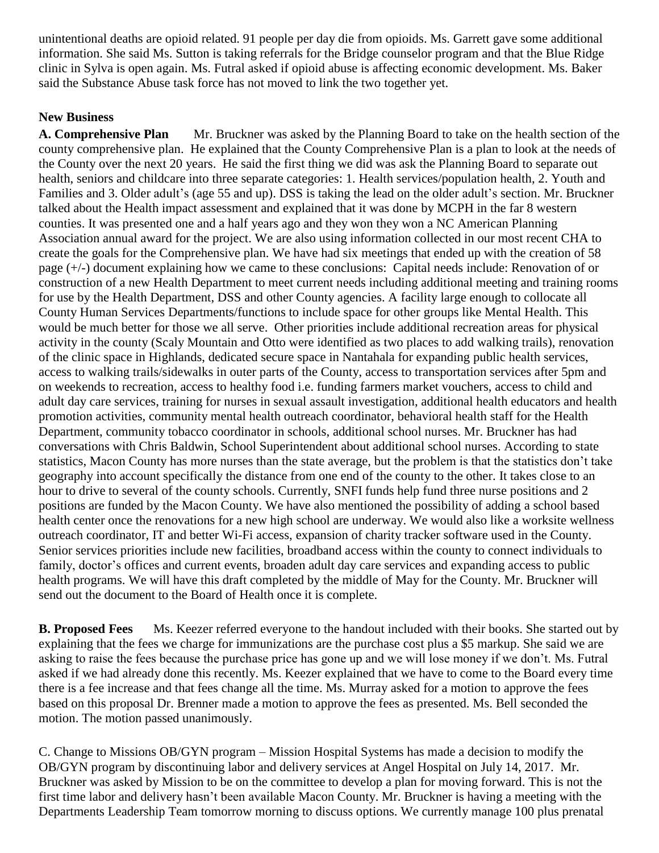unintentional deaths are opioid related. 91 people per day die from opioids. Ms. Garrett gave some additional information. She said Ms. Sutton is taking referrals for the Bridge counselor program and that the Blue Ridge clinic in Sylva is open again. Ms. Futral asked if opioid abuse is affecting economic development. Ms. Baker said the Substance Abuse task force has not moved to link the two together yet.

# **New Business**

**A. Comprehensive Plan** Mr. Bruckner was asked by the Planning Board to take on the health section of the county comprehensive plan. He explained that the County Comprehensive Plan is a plan to look at the needs of the County over the next 20 years. He said the first thing we did was ask the Planning Board to separate out health, seniors and childcare into three separate categories: 1. Health services/population health, 2. Youth and Families and 3. Older adult's (age 55 and up). DSS is taking the lead on the older adult's section. Mr. Bruckner talked about the Health impact assessment and explained that it was done by MCPH in the far 8 western counties. It was presented one and a half years ago and they won they won a NC American Planning Association annual award for the project. We are also using information collected in our most recent CHA to create the goals for the Comprehensive plan. We have had six meetings that ended up with the creation of 58 page (+/-) document explaining how we came to these conclusions: Capital needs include: Renovation of or construction of a new Health Department to meet current needs including additional meeting and training rooms for use by the Health Department, DSS and other County agencies. A facility large enough to collocate all County Human Services Departments/functions to include space for other groups like Mental Health. This would be much better for those we all serve. Other priorities include additional recreation areas for physical activity in the county (Scaly Mountain and Otto were identified as two places to add walking trails), renovation of the clinic space in Highlands, dedicated secure space in Nantahala for expanding public health services, access to walking trails/sidewalks in outer parts of the County, access to transportation services after 5pm and on weekends to recreation, access to healthy food i.e. funding farmers market vouchers, access to child and adult day care services, training for nurses in sexual assault investigation, additional health educators and health promotion activities, community mental health outreach coordinator, behavioral health staff for the Health Department, community tobacco coordinator in schools, additional school nurses. Mr. Bruckner has had conversations with Chris Baldwin, School Superintendent about additional school nurses. According to state statistics, Macon County has more nurses than the state average, but the problem is that the statistics don't take geography into account specifically the distance from one end of the county to the other. It takes close to an hour to drive to several of the county schools. Currently, SNFI funds help fund three nurse positions and 2 positions are funded by the Macon County. We have also mentioned the possibility of adding a school based health center once the renovations for a new high school are underway. We would also like a worksite wellness outreach coordinator, IT and better Wi-Fi access, expansion of charity tracker software used in the County. Senior services priorities include new facilities, broadband access within the county to connect individuals to family, doctor's offices and current events, broaden adult day care services and expanding access to public health programs. We will have this draft completed by the middle of May for the County. Mr. Bruckner will send out the document to the Board of Health once it is complete.

**B. Proposed Fees** Ms. Keezer referred everyone to the handout included with their books. She started out by explaining that the fees we charge for immunizations are the purchase cost plus a \$5 markup. She said we are asking to raise the fees because the purchase price has gone up and we will lose money if we don't. Ms. Futral asked if we had already done this recently. Ms. Keezer explained that we have to come to the Board every time there is a fee increase and that fees change all the time. Ms. Murray asked for a motion to approve the fees based on this proposal Dr. Brenner made a motion to approve the fees as presented. Ms. Bell seconded the motion. The motion passed unanimously.

C. Change to Missions OB/GYN program – Mission Hospital Systems has made a decision to modify the OB/GYN program by discontinuing labor and delivery services at Angel Hospital on July 14, 2017. Mr. Bruckner was asked by Mission to be on the committee to develop a plan for moving forward. This is not the first time labor and delivery hasn't been available Macon County. Mr. Bruckner is having a meeting with the Departments Leadership Team tomorrow morning to discuss options. We currently manage 100 plus prenatal